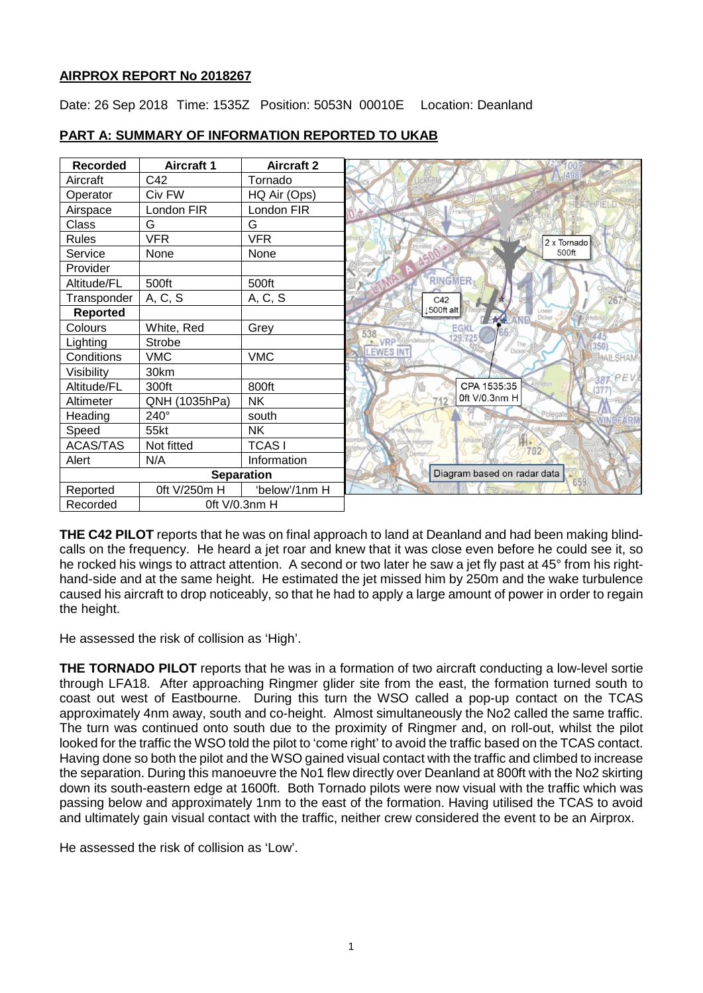# **AIRPROX REPORT No 2018267**

Date: 26 Sep 2018 Time: 1535Z Position: 5053N 00010E Location: Deanland

| <b>Recorded</b>   | <b>Aircraft 1</b> | <b>Aircraft 2</b> |                                       |                                |
|-------------------|-------------------|-------------------|---------------------------------------|--------------------------------|
| Aircraft          | C42               | Tornado           |                                       |                                |
| Operator          | Civ FW            | HQ Air (Ops)      |                                       |                                |
| Airspace          | London FIR        | London FIR        |                                       |                                |
| Class             | G                 | G                 |                                       |                                |
| <b>Rules</b>      | <b>VFR</b>        | <b>VFR</b>        |                                       | 2 x Tornado                    |
| Service           | None              | None              |                                       |                                |
| Provider          |                   |                   |                                       |                                |
| Altitude/FL       | 500ft             | 500ft             | <b>RINGMER</b>                        |                                |
| Transponder       | A, C, S           | A, C, S           | C42                                   |                                |
| <b>Reported</b>   |                   |                   | ↓500ft alt                            | Lowe<br>Dicker<br>$\mathbb{R}$ |
| Colours           | White, Red        | Grey              | EGK<br>538                            |                                |
| Lighting          | Strobe            |                   | 129,725<br><b>COVRP</b> SGlyndebourne |                                |
| Conditions        | <b>VMC</b>        | <b>VMC</b>        | <b>LEWES INT</b>                      | Dicker                         |
| Visibility        | 30km              |                   |                                       |                                |
| Altitude/FL       | 300ft             | 800ft             |                                       | CPA 1535:35                    |
| Altimeter         | QNH (1035hPa)     | <b>NK</b>         |                                       | 0ft V/0.3nm H                  |
| Heading           | 240°              | south             |                                       |                                |
| Speed             | 55kt              | <b>NK</b>         | ring Nevile                           |                                |
| <b>ACAS/TAS</b>   | Not fitted        | <b>TCASI</b>      |                                       | 702                            |
| Alert             | N/A               | Information       |                                       |                                |
| <b>Separation</b> |                   |                   |                                       | Diagram based on radar data    |
| Reported          | 0ft V/250m H      | 'below'/1nm H     |                                       |                                |
| Recorded          | Oft V/0.3nm H     |                   |                                       |                                |

# **PART A: SUMMARY OF INFORMATION REPORTED TO UKAB**

**THE C42 PILOT** reports that he was on final approach to land at Deanland and had been making blindcalls on the frequency. He heard a jet roar and knew that it was close even before he could see it, so he rocked his wings to attract attention. A second or two later he saw a jet fly past at 45° from his righthand-side and at the same height. He estimated the jet missed him by 250m and the wake turbulence caused his aircraft to drop noticeably, so that he had to apply a large amount of power in order to regain the height.

He assessed the risk of collision as 'High'.

**THE TORNADO PILOT** reports that he was in a formation of two aircraft conducting a low-level sortie through LFA18. After approaching Ringmer glider site from the east, the formation turned south to coast out west of Eastbourne. During this turn the WSO called a pop-up contact on the TCAS approximately 4nm away, south and co-height. Almost simultaneously the No2 called the same traffic. The turn was continued onto south due to the proximity of Ringmer and, on roll-out, whilst the pilot looked for the traffic the WSO told the pilot to 'come right' to avoid the traffic based on the TCAS contact. Having done so both the pilot and the WSO gained visual contact with the traffic and climbed to increase the separation. During this manoeuvre the No1 flew directly over Deanland at 800ft with the No2 skirting down its south-eastern edge at 1600ft. Both Tornado pilots were now visual with the traffic which was passing below and approximately 1nm to the east of the formation. Having utilised the TCAS to avoid and ultimately gain visual contact with the traffic, neither crew considered the event to be an Airprox.

He assessed the risk of collision as 'Low'.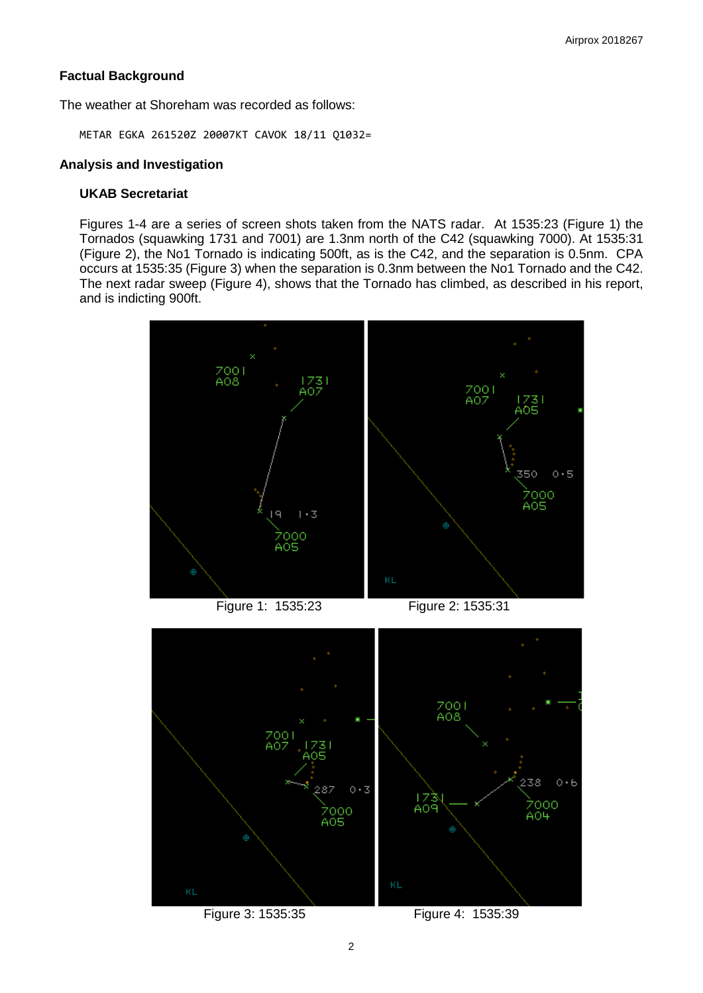## **Factual Background**

The weather at Shoreham was recorded as follows:

METAR EGKA 261520Z 20007KT CAVOK 18/11 Q1032=

# **Analysis and Investigation**

## **UKAB Secretariat**

Figures 1-4 are a series of screen shots taken from the NATS radar. At 1535:23 (Figure 1) the Tornados (squawking 1731 and 7001) are 1.3nm north of the C42 (squawking 7000). At 1535:31 (Figure 2), the No1 Tornado is indicating 500ft, as is the C42, and the separation is 0.5nm. CPA occurs at 1535:35 (Figure 3) when the separation is 0.3nm between the No1 Tornado and the C42. The next radar sweep (Figure 4), shows that the Tornado has climbed, as described in his report, and is indicting 900ft.



Figure 1: 1535:23 Figure 2: 1535:31

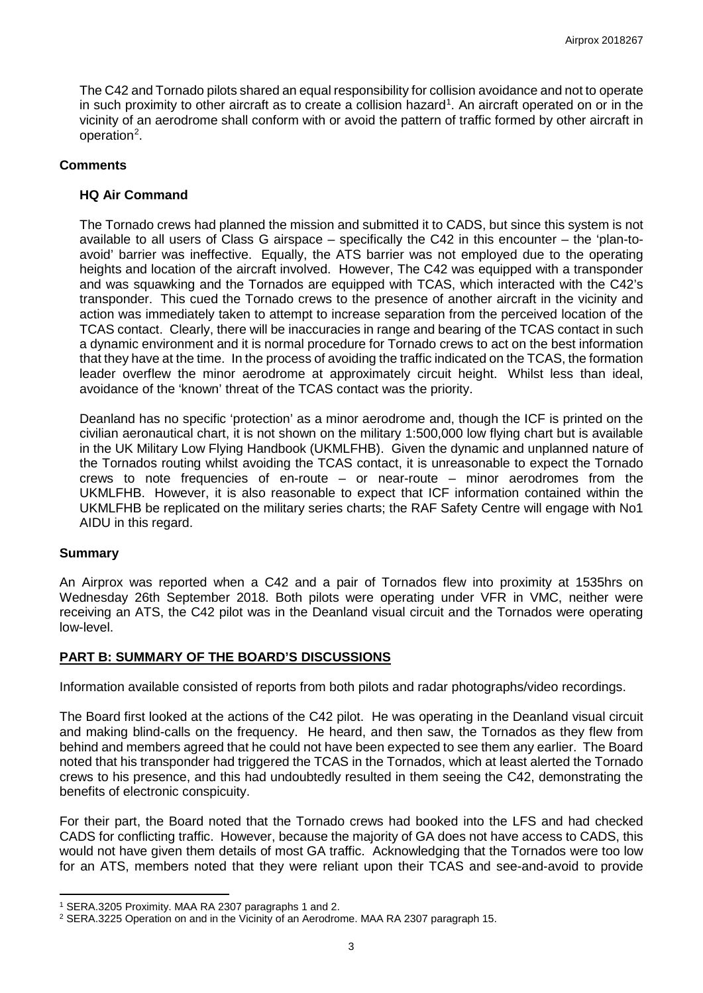The C42 and Tornado pilots shared an equal responsibility for collision avoidance and not to operate in such proximity to other aircraft as to create a collision hazard<sup>[1](#page-2-0)</sup>. An aircraft operated on or in the vicinity of an aerodrome shall conform with or avoid the pattern of traffic formed by other aircraft in operation<sup>[2](#page-2-1)</sup>.

#### **Comments**

## **HQ Air Command**

The Tornado crews had planned the mission and submitted it to CADS, but since this system is not available to all users of Class G airspace – specifically the C42 in this encounter – the 'plan-toavoid' barrier was ineffective. Equally, the ATS barrier was not employed due to the operating heights and location of the aircraft involved. However, The C42 was equipped with a transponder and was squawking and the Tornados are equipped with TCAS, which interacted with the C42's transponder. This cued the Tornado crews to the presence of another aircraft in the vicinity and action was immediately taken to attempt to increase separation from the perceived location of the TCAS contact. Clearly, there will be inaccuracies in range and bearing of the TCAS contact in such a dynamic environment and it is normal procedure for Tornado crews to act on the best information that they have at the time. In the process of avoiding the traffic indicated on the TCAS, the formation leader overflew the minor aerodrome at approximately circuit height. Whilst less than ideal, avoidance of the 'known' threat of the TCAS contact was the priority.

Deanland has no specific 'protection' as a minor aerodrome and, though the ICF is printed on the civilian aeronautical chart, it is not shown on the military 1:500,000 low flying chart but is available in the UK Military Low Flying Handbook (UKMLFHB). Given the dynamic and unplanned nature of the Tornados routing whilst avoiding the TCAS contact, it is unreasonable to expect the Tornado crews to note frequencies of en-route – or near-route – minor aerodromes from the UKMLFHB. However, it is also reasonable to expect that ICF information contained within the UKMLFHB be replicated on the military series charts; the RAF Safety Centre will engage with No1 AIDU in this regard.

#### **Summary**

l

An Airprox was reported when a C42 and a pair of Tornados flew into proximity at 1535hrs on Wednesday 26th September 2018. Both pilots were operating under VFR in VMC, neither were receiving an ATS, the C42 pilot was in the Deanland visual circuit and the Tornados were operating low-level.

# **PART B: SUMMARY OF THE BOARD'S DISCUSSIONS**

Information available consisted of reports from both pilots and radar photographs/video recordings.

The Board first looked at the actions of the C42 pilot. He was operating in the Deanland visual circuit and making blind-calls on the frequency. He heard, and then saw, the Tornados as they flew from behind and members agreed that he could not have been expected to see them any earlier. The Board noted that his transponder had triggered the TCAS in the Tornados, which at least alerted the Tornado crews to his presence, and this had undoubtedly resulted in them seeing the C42, demonstrating the benefits of electronic conspicuity.

For their part, the Board noted that the Tornado crews had booked into the LFS and had checked CADS for conflicting traffic. However, because the majority of GA does not have access to CADS, this would not have given them details of most GA traffic. Acknowledging that the Tornados were too low for an ATS, members noted that they were reliant upon their TCAS and see-and-avoid to provide

<span id="page-2-0"></span><sup>1</sup> SERA.3205 Proximity. MAA RA 2307 paragraphs 1 and 2.

<span id="page-2-1"></span><sup>2</sup> SERA.3225 Operation on and in the Vicinity of an Aerodrome. MAA RA 2307 paragraph 15.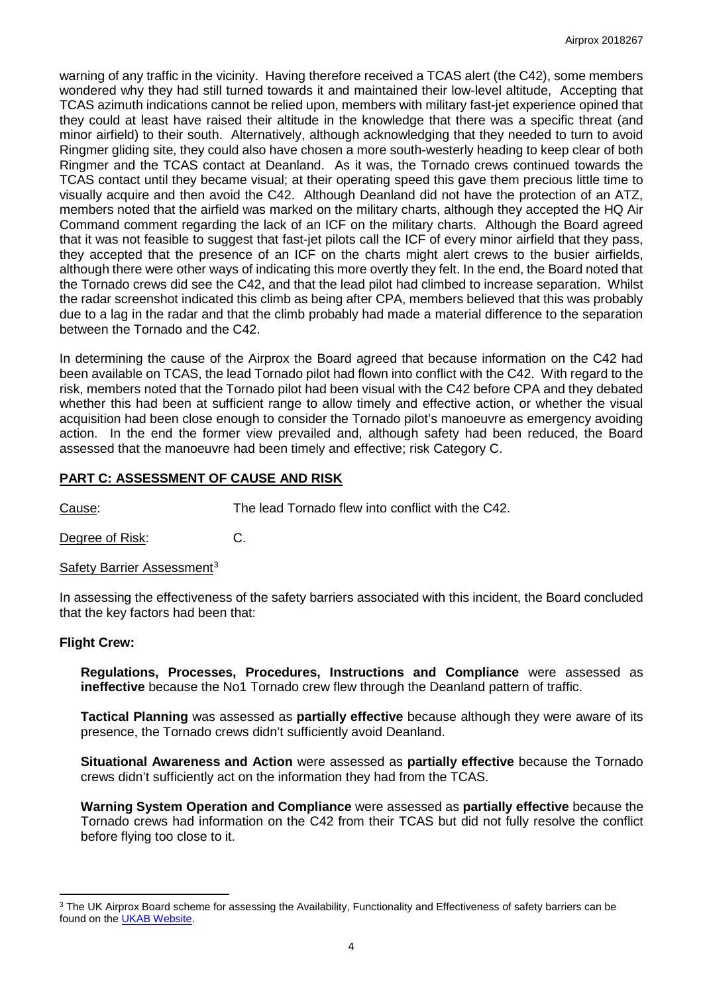warning of any traffic in the vicinity. Having therefore received a TCAS alert (the C42), some members wondered why they had still turned towards it and maintained their low-level altitude, Accepting that TCAS azimuth indications cannot be relied upon, members with military fast-jet experience opined that they could at least have raised their altitude in the knowledge that there was a specific threat (and minor airfield) to their south. Alternatively, although acknowledging that they needed to turn to avoid Ringmer gliding site, they could also have chosen a more south-westerly heading to keep clear of both Ringmer and the TCAS contact at Deanland. As it was, the Tornado crews continued towards the TCAS contact until they became visual; at their operating speed this gave them precious little time to visually acquire and then avoid the C42. Although Deanland did not have the protection of an ATZ, members noted that the airfield was marked on the military charts, although they accepted the HQ Air Command comment regarding the lack of an ICF on the military charts. Although the Board agreed that it was not feasible to suggest that fast-jet pilots call the ICF of every minor airfield that they pass, they accepted that the presence of an ICF on the charts might alert crews to the busier airfields, although there were other ways of indicating this more overtly they felt. In the end, the Board noted that the Tornado crews did see the C42, and that the lead pilot had climbed to increase separation. Whilst the radar screenshot indicated this climb as being after CPA, members believed that this was probably due to a lag in the radar and that the climb probably had made a material difference to the separation between the Tornado and the C42.

In determining the cause of the Airprox the Board agreed that because information on the C42 had been available on TCAS, the lead Tornado pilot had flown into conflict with the C42. With regard to the risk, members noted that the Tornado pilot had been visual with the C42 before CPA and they debated whether this had been at sufficient range to allow timely and effective action, or whether the visual acquisition had been close enough to consider the Tornado pilot's manoeuvre as emergency avoiding action. In the end the former view prevailed and, although safety had been reduced, the Board assessed that the manoeuvre had been timely and effective; risk Category C.

# **PART C: ASSESSMENT OF CAUSE AND RISK**

Cause: The lead Tornado flew into conflict with the C42.

Degree of Risk: C.

Safety Barrier Assessment<sup>[3](#page-3-0)</sup>

In assessing the effectiveness of the safety barriers associated with this incident, the Board concluded that the key factors had been that:

# **Flight Crew:**

l

**Regulations, Processes, Procedures, Instructions and Compliance** were assessed as **ineffective** because the No1 Tornado crew flew through the Deanland pattern of traffic.

**Tactical Planning** was assessed as **partially effective** because although they were aware of its presence, the Tornado crews didn't sufficiently avoid Deanland.

**Situational Awareness and Action** were assessed as **partially effective** because the Tornado crews didn't sufficiently act on the information they had from the TCAS.

**Warning System Operation and Compliance** were assessed as **partially effective** because the Tornado crews had information on the C42 from their TCAS but did not fully resolve the conflict before flying too close to it.

<span id="page-3-0"></span><sup>&</sup>lt;sup>3</sup> The UK Airprox Board scheme for assessing the Availability, Functionality and Effectiveness of safety barriers can be found on the [UKAB Website.](http://www.airproxboard.org.uk/Learn-more/Airprox-Barrier-Assessment/)